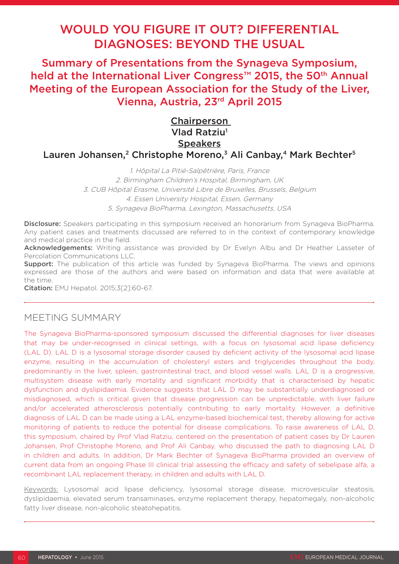# WOULD YOU FIGURE IT OUT? DIFFERENTIAL DIAGNOSES: BEYOND THE USUAL

Summary of Presentations from the Synageva Symposium, held at the International Liver Congress<sup>™</sup> 2015, the 50<sup>th</sup> Annual Meeting of the European Association for the Study of the Liver, Vienna, Austria, 23rd April 2015

## **Chairperson** Vlad Ratziu<sup>1</sup> **Speakers** Lauren Johansen,<sup>2</sup> Christophe Moreno,<sup>3</sup> Ali Canbay,<sup>4</sup> Mark Bechter<sup>5</sup>

1. Hôpital La Pitié-Salpêtrière, Paris, France 2. Birmingham Children's Hospital, Birmingham, UK 3. CUB Hôpital Erasme, Université Libre de Bruxelles, Brussels, Belgium 4. Essen University Hospital, Essen, Germany 5. Synageva BioPharma, Lexington, Massachusetts, USA

Disclosure: Speakers participating in this symposium received an honorarium from Synageva BioPharma. Any patient cases and treatments discussed are referred to in the context of contemporary knowledge and medical practice in the field.

Acknowledgements: Writing assistance was provided by Dr Evelyn Albu and Dr Heather Lasseter of Percolation Communications LLC.

**Support:** The publication of this article was funded by Synageva BioPharma. The views and opinions expressed are those of the authors and were based on information and data that were available at the time.

Citation: EMJ Hepatol. 2015;3[2]:60-67.

## MEETING SUMMARY

The Synageva BioPharma-sponsored symposium discussed the differential diagnoses for liver diseases that may be under-recognised in clinical settings, with a focus on lysosomal acid lipase deficiency (LAL D). LAL D is a lysosomal storage disorder caused by deficient activity of the lysosomal acid lipase enzyme, resulting in the accumulation of cholesteryl esters and triglycerides throughout the body, predominantly in the liver, spleen, gastrointestinal tract, and blood vessel walls. LAL D is a progressive, multisystem disease with early mortality and significant morbidity that is characterised by hepatic dysfunction and dyslipidaemia. Evidence suggests that LAL D may be substantially underdiagnosed or misdiagnosed, which is critical given that disease progression can be unpredictable, with liver failure and/or accelerated atherosclerosis potentially contributing to early mortality. However, a definitive diagnosis of LAL D can be made using a LAL enzyme-based biochemical test, thereby allowing for active monitoring of patients to reduce the potential for disease complications. To raise awareness of LAL D, this symposium, chaired by Prof Vlad Ratziu, centered on the presentation of patient cases by Dr Lauren Johansen, Prof Christophe Moreno, and Prof Ali Canbay, who discussed the path to diagnosing LAL D in children and adults. In addition, Dr Mark Bechter of Synageva BioPharma provided an overview of current data from an ongoing Phase III clinical trial assessing the efficacy and safety of sebelipase alfa, a recombinant LAL replacement therapy, in children and adults with LAL D.

Keywords: Lysosomal acid lipase deficiency, lysosomal storage disease, microvesicular steatosis, dyslipidaemia, elevated serum transaminases, enzyme replacement therapy, hepatomegaly, non-alcoholic fatty liver disease, non-alcoholic steatohepatitis.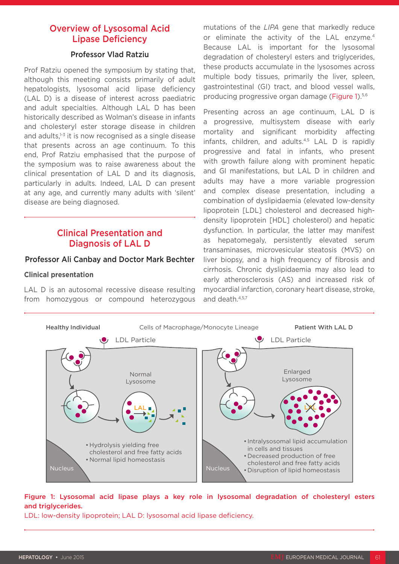## Overview of Lysosomal Acid Lipase Deficiency

#### Professor Vlad Ratziu

Prof Ratziu opened the symposium by stating that, although this meeting consists primarily of adult hepatologists, lysosomal acid lipase deficiency (LAL D) is a disease of interest across paediatric and adult specialties. Although LAL D has been historically described as Wolman's disease in infants and cholesteryl ester storage disease in children and adults, $1-3$  it is now recognised as a single disease that presents across an age continuum. To this end, Prof Ratziu emphasised that the purpose of the symposium was to raise awareness about the clinical presentation of LAL D and its diagnosis, particularly in adults. Indeed, LAL D can present at any age, and currently many adults with 'silent' disease are being diagnosed.

## Clinical Presentation and Diagnosis of LAL D

#### Professor Ali Canbay and Doctor Mark Bechter

#### **Clinical presentation**

LAL D is an autosomal recessive disease resulting from homozygous or compound heterozygous mutations of the *LIPA* gene that markedly reduce or eliminate the activity of the LAL enzyme.<sup>4</sup> Because LAL is important for the lysosomal degradation of cholesteryl esters and triglycerides, these products accumulate in the lysosomes across multiple body tissues, primarily the liver, spleen, gastrointestinal (GI) tract, and blood vessel walls, producing progressive organ damage (Figure 1).<sup>5,6</sup>

Presenting across an age continuum, LAL D is a progressive, multisystem disease with early mortality and significant morbidity affecting infants, children, and adults.<sup>4,5</sup> LAL D is rapidly progressive and fatal in infants, who present with growth failure along with prominent hepatic and GI manifestations, but LAL D in children and adults may have a more variable progression and complex disease presentation, including a combination of dyslipidaemia (elevated low-density lipoprotein [LDL] cholesterol and decreased highdensity lipoprotein [HDL] cholesterol) and hepatic dysfunction. In particular, the latter may manifest as hepatomegaly, persistently elevated serum transaminases, microvesicular steatosis (MVS) on liver biopsy, and a high frequency of fibrosis and cirrhosis. Chronic dyslipidaemia may also lead to early atherosclerosis (AS) and increased risk of myocardial infarction, coronary heart disease, stroke, and death.4,5,7



### Figure 1: Lysosomal acid lipase plays a key role in lysosomal degradation of cholesteryl esters and triglycerides.

LDL: low-density lipoprotein; LAL D: lysosomal acid lipase deficiency.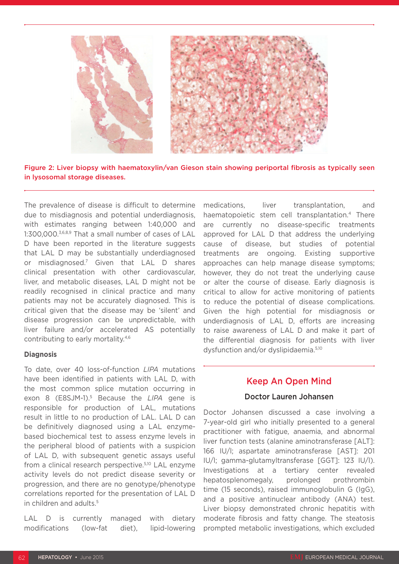

Figure 2: Liver biopsy with haematoxylin/van Gieson stain showing periportal fibrosis as typically seen in lysosomal storage diseases.

The prevalence of disease is difficult to determine due to misdiagnosis and potential underdiagnosis, with estimates ranging between 1:40,000 and 1:300,000.3,6,8,9 That a small number of cases of LAL D have been reported in the literature suggests that LAL D may be substantially underdiagnosed or misdiagnosed.7 Given that LAL D shares clinical presentation with other cardiovascular, liver, and metabolic diseases, LAL D might not be readily recognised in clinical practice and many patients may not be accurately diagnosed. This is critical given that the disease may be 'silent' and disease progression can be unpredictable, with liver failure and/or accelerated AS potentially contributing to early mortality.4,6

#### **Diagnosis**

To date, over 40 loss-of-function *LIPA* mutations have been identified in patients with LAL D, with the most common splice mutation occurring in exon 8 (E8SJM-1).5 Because the *LIPA* gene is responsible for production of LAL, mutations result in little to no production of LAL. LAL D can be definitively diagnosed using a LAL enzymebased biochemical test to assess enzyme levels in the peripheral blood of patients with a suspicion of LAL D, with subsequent genetic assays useful from a clinical research perspective.<sup>5,10</sup> LAL enzyme activity levels do not predict disease severity or progression, and there are no genotype/phenotype correlations reported for the presentation of LAL D in children and adults.<sup>5</sup>

LAL D is currently managed with dietary modifications (low-fat diet), lipid-lowering

medications, liver transplantation, and haematopoietic stem cell transplantation.<sup>4</sup> There are currently no disease-specific treatments approved for LAL D that address the underlying cause of disease, but studies of potential treatments are ongoing. Existing supportive approaches can help manage disease symptoms; however, they do not treat the underlying cause or alter the course of disease. Early diagnosis is critical to allow for active monitoring of patients to reduce the potential of disease complications. Given the high potential for misdiagnosis or underdiagnosis of LAL D, efforts are increasing to raise awareness of LAL D and make it part of the differential diagnosis for patients with liver dysfunction and/or dyslipidaemia.5,10

### Keep An Open Mind

#### Doctor Lauren Johansen

Doctor Johansen discussed a case involving a 7-year-old girl who initially presented to a general practitioner with fatigue, anaemia, and abnormal liver function tests (alanine aminotransferase [ALT]: 166 IU/l; aspartate aminotransferase [AST]: 201 IU/l; gamma-glutamyltransferase [GGT]: 123 IU/l). Investigations at a tertiary center revealed hepatosplenomegaly, prolonged prothrombin time (15 seconds), raised immunoglobulin G (IgG), and a positive antinuclear antibody (ANA) test. Liver biopsy demonstrated chronic hepatitis with moderate fibrosis and fatty change. The steatosis prompted metabolic investigations, which excluded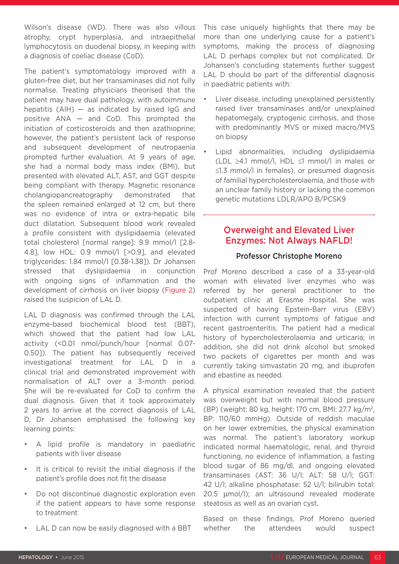Wilson's disease (WD). There was also villous atrophy, crypt hyperplasia, and intraepithelial lymphocytosis on duodenal biopsy, in keeping with a diagnosis of coeliac disease (CoD).

The patient's symptomatology improved with a gluten-free diet, but her transaminases did not fully normalise. Treating physicians theorised that the patient may have dual pathology, with autoimmune hepatitis  $(AIH)$  – as indicated by raised IgG and positive ANA — and CoD. This prompted the initiation of corticosteroids and then azathioprine; however, the patient's persistent lack of response and subsequent development of neutropaenia prompted further evaluation. At 9 years of age, she had a normal body mass index (BMI), but presented with elevated ALT, AST, and GGT despite being compliant with therapy. Magnetic resonance cholangiopancreatography demonstrated that the spleen remained enlarged at 12 cm, but there was no evidence of intra or extra-hepatic bile duct dilatation. Subsequent blood work revealed a profile consistent with dyslipidaemia (elevated total cholesterol [normal range]: 9.9 mmol/l [2.8- 4.8], low HDL: 0.9 mmol/l [>0.9], and elevated triglycerides: 1.84 mmol/l [0.38-1.38]). Dr Johansen stressed that dyslipidaemia in conjunction with ongoing signs of inflammation and the development of cirrhosis on liver biopsy (Figure 2) raised the suspicion of LAL D.

LAL D diagnosis was confirmed through the LAL enzyme-based biochemical blood test (BBT), which showed that the patient had low LAL activity (<0.01 nmol/punch/hour [normal 0.07- 0.50]). The patient has subsequently received investigational treatment for LAL D in a clinical trial and demonstrated improvement with normalisation of ALT over a 3-month period. She will be re-evaluated for CoD to confirm the dual diagnosis. Given that it took approximately 2 years to arrive at the correct diagnosis of LAL D, Dr Johansen emphasised the following key learning points:

- A lipid profile is mandatory in paediatric patients with liver disease
- It is critical to revisit the initial diagnosis if the patient's profile does not fit the disease
- Do not discontinue diagnostic exploration even if the patient appears to have some response to treatment
- LAL D can now be easily diagnosed with a BBT

This case uniquely highlights that there may be more than one underlying cause for a patient's symptoms, making the process of diagnosing LAL D perhaps complex but not complicated. Dr Johansen's concluding statements further suggest LAL D should be part of the differential diagnosis in paediatric patients with:

- Liver disease, including unexplained persistently raised liver transaminases and/or unexplained hepatomegaly, cryptogenic cirrhosis, and those with predominantly MVS or mixed macro/MVS on biopsy
- Lipid abnormalities, including dyslipidaemia (LDL ≥4.1 mmol/l, HDL ≤1 mmol/l in males or ≤1.3 mmol/l in females), or presumed diagnosis of familial hypercholesterolaemia, and those with an unclear family history or lacking the common genetic mutations LDLR/APO B/PCSK9

## Overweight and Elevated Liver Enzymes: Not Always NAFLD!

### Professor Christophe Moreno

Prof Moreno described a case of a 33-year-old woman with elevated liver enzymes who was referred by her general practitioner to the outpatient clinic at Erasme Hospital. She was suspected of having Epstein-Barr virus (EBV) infection with current symptoms of fatigue and recent gastroenteritis. The patient had a medical history of hypercholesterolaemia and urticaria; in addition, she did not drink alcohol but smoked two packets of cigarettes per month and was currently taking simvastatin 20 mg, and ibuprofen and ebastine as needed.

A physical examination revealed that the patient was overweight but with normal blood pressure (BP) (weight: 80 kg, height: 170 cm, BMI: 27.7 kg/m2, BP: 110/60 mmHg). Outside of reddish maculae on her lower extremities, the physical examination was normal. The patient's laboratory workup indicated normal haematologic, renal, and thyroid functioning, no evidence of inflammation, a fasting blood sugar of 86 mg/dl, and ongoing elevated transaminases (AST: 36 U/l; ALT: 58 U/l; GGT: 42 U/l; alkaline phosphatase: 52 U/l; bilirubin total: 20.5 µmol/l); an ultrasound revealed moderate steatosis as well as an ovarian cyst.

Based on these findings, Prof Moreno queried whether the attendees would suspect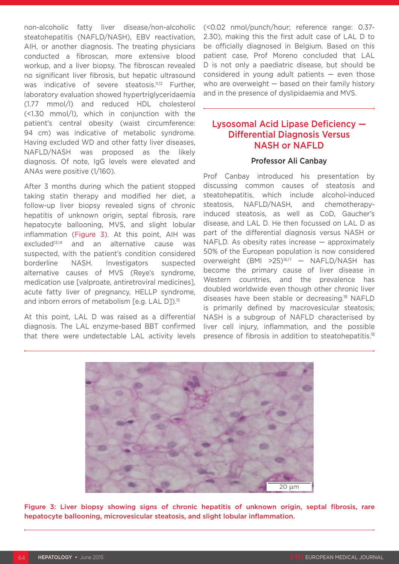non-alcoholic fatty liver disease/non-alcoholic steatohepatitis (NAFLD/NASH), EBV reactivation, AIH, or another diagnosis. The treating physicians conducted a fibroscan, more extensive blood workup, and a liver biopsy. The fibroscan revealed no significant liver fibrosis, but hepatic ultrasound was indicative of severe steatosis.<sup>11,12</sup> Further, laboratory evaluation showed hypertriglyceridaemia (1.77 mmol/l) and reduced HDL cholesterol (<1.30 mmol/l), which in conjunction with the patient's central obesity (waist circumference: 94 cm) was indicative of metabolic syndrome. Having excluded WD and other fatty liver diseases, NAFLD/NASH was proposed as the likely diagnosis. Of note, IgG levels were elevated and ANAs were positive (1/160).

After 3 months during which the patient stopped taking statin therapy and modified her diet, a follow-up liver biopsy revealed signs of chronic hepatitis of unknown origin, septal fibrosis, rare hepatocyte ballooning, MVS, and slight lobular inflammation (Figure 3). At this point, AIH was excluded<sup>13,14</sup> and an alternative cause was suspected, with the patient's condition considered borderline NASH. Investigators suspected alternative causes of MVS (Reye's syndrome, medication use [valproate, antiretroviral medicines], acute fatty liver of pregnancy, HELLP syndrome, and inborn errors of metabolism [e.g. LAL D]).<sup>15</sup>

At this point, LAL D was raised as a differential diagnosis. The LAL enzyme-based BBT confirmed that there were undetectable LAL activity levels (<0.02 nmol/punch/hour; reference range: 0.37- 2.30), making this the first adult case of LAL D to be officially diagnosed in Belgium. Based on this patient case, Prof Moreno concluded that LAL D is not only a paediatric disease, but should be considered in young adult patients  $-$  even those who are overweight — based on their family history and in the presence of dyslipidaemia and MVS.

## Lysosomal Acid Lipase Deficiency — Differential Diagnosis Versus NASH or NAFLD

#### Professor Ali Canbay

Prof Canbay introduced his presentation by discussing common causes of steatosis and steatohepatitis, which include alcohol-induced steatosis, NAFLD/NASH, and chemotherapyinduced steatosis, as well as CoD, Gaucher's disease, and LAL D. He then focussed on LAL D as part of the differential diagnosis versus NASH or NAFLD. As obesity rates increase — approximately 50% of the European population is now considered overweight (BMI >25)16,17 — NAFLD/NASH has become the primary cause of liver disease in Western countries, and the prevalence has doubled worldwide even though other chronic liver diseases have been stable or decreasing.18 NAFLD is primarily defined by macrovesicular steatosis; NASH is a subgroup of NAFLD characterised by liver cell injury, inflammation, and the possible presence of fibrosis in addition to steatohepatitis.18

![](_page_4_Picture_7.jpeg)

Figure 3: Liver biopsy showing signs of chronic hepatitis of unknown origin, septal fibrosis, rare hepatocyte ballooning, microvesicular steatosis, and slight lobular inflammation.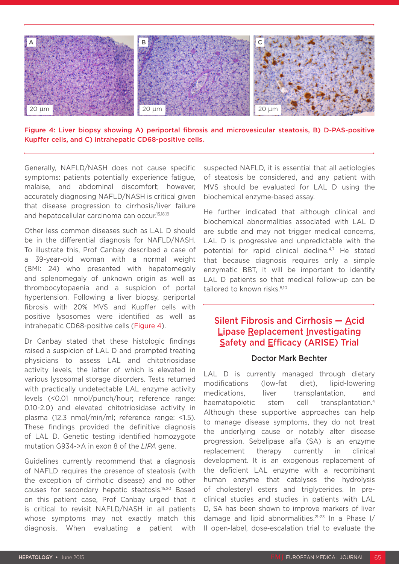![](_page_5_Picture_0.jpeg)

Figure 4: Liver biopsy showing A) periportal fibrosis and microvesicular steatosis, B) D-PAS-positive Kupffer cells, and C) intrahepatic CD68-positive cells.

Generally, NAFLD/NASH does not cause specific symptoms: patients potentially experience fatigue, malaise, and abdominal discomfort; however, accurately diagnosing NAFLD/NASH is critical given that disease progression to cirrhosis/liver failure and hepatocellular carcinoma can occur.15,18,19

Other less common diseases such as LAL D should be in the differential diagnosis for NAFLD/NASH. To illustrate this, Prof Canbay described a case of a 39-year-old woman with a normal weight (BMI: 24) who presented with hepatomegaly and splenomegaly of unknown origin as well as thrombocytopaenia and a suspicion of portal hypertension. Following a liver biopsy, periportal fibrosis with 20% MVS and Kupffer cells with positive lysosomes were identified as well as intrahepatic CD68-positive cells (Figure 4).

Dr Canbay stated that these histologic findings raised a suspicion of LAL D and prompted treating physicians to assess LAL and chitotriosidase activity levels, the latter of which is elevated in various lysosomal storage disorders. Tests returned with practically undetectable LAL enzyme activity levels (<0.01 nmol/punch/hour; reference range: 0.10-2.0) and elevated chitotriosidase activity in plasma (12.3 nmol/min/ml; reference range: <1.5). These findings provided the definitive diagnosis of LAL D. Genetic testing identified homozygote mutation G934->A in exon 8 of the *LIPA* gene.

Guidelines currently recommend that a diagnosis of NAFLD requires the presence of steatosis (with the exception of cirrhotic disease) and no other causes for secondary hepatic steatosis.15,20 Based on this patient case, Prof Canbay urged that it is critical to revisit NAFLD/NASH in all patients whose symptoms may not exactly match this diagnosis. When evaluating a patient with

suspected NAFLD, it is essential that all aetiologies of steatosis be considered, and any patient with MVS should be evaluated for LAL D using the biochemical enzyme-based assay.

He further indicated that although clinical and biochemical abnormalities associated with LAL D are subtle and may not trigger medical concerns, LAL D is progressive and unpredictable with the potential for rapid clinical decline.4,7 He stated that because diagnosis requires only a simple enzymatic BBT, it will be important to identify LAL D patients so that medical follow-up can be tailored to known risks.<sup>5,10</sup>

## Silent Fibrosis and Cirrhosis — Acid Lipase Replacement Investigating Safety and Efficacy (ARISE) Trial

#### Doctor Mark Bechter

LAL D is currently managed through dietary modifications (low-fat diet), lipid-lowering medications, liver transplantation, and haematopoietic stem cell transplantation.<sup>4</sup> Although these supportive approaches can help to manage disease symptoms, they do not treat the underlying cause or notably alter disease progression. Sebelipase alfa (SA) is an enzyme replacement therapy currently in clinical development. It is an exogenous replacement of the deficient LAL enzyme with a recombinant human enzyme that catalyses the hydrolysis of cholesteryl esters and triglycerides. In preclinical studies and studies in patients with LAL D, SA has been shown to improve markers of liver damage and lipid abnormalities.<sup>21-23</sup> In a Phase I/ II open-label, dose-escalation trial to evaluate the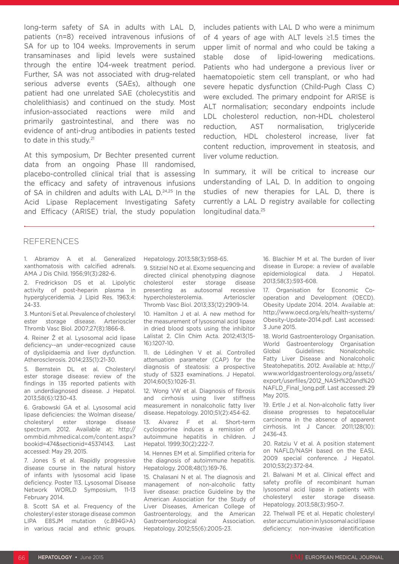long-term safety of SA in adults with LAL D, patients (n=8) received intravenous infusions of SA for up to 104 weeks. Improvements in serum transaminases and lipid levels were sustained through the entire 104-week treatment period. Further, SA was not associated with drug-related serious adverse events (SAEs), although one patient had one unrelated SAE (cholecystitis and cholelithiasis) and continued on the study. Most infusion-associated reactions were mild and primarily gastrointestinal, and there was no evidence of anti-drug antibodies in patients tested to date in this study.<sup>21</sup>

At this symposium, Dr Bechter presented current data from an ongoing Phase III randomised, placebo-controlled clinical trial that is assessing the efficacy and safety of intravenous infusions of SA in children and adults with LAL D.<sup>24,25</sup> In the Acid Lipase Replacement Investigating Safety and Efficacy (ARISE) trial, the study population includes patients with LAL D who were a minimum of 4 years of age with ALT levels ≥1.5 times the upper limit of normal and who could be taking a stable dose of lipid-lowering medications. Patients who had undergone a previous liver or haematopoietic stem cell transplant, or who had severe hepatic dysfunction (Child-Pugh Class C) were excluded. The primary endpoint for ARISE is ALT normalisation; secondary endpoints include LDL cholesterol reduction, non-HDL cholesterol reduction, AST normalisation, triglyceride reduction, HDL cholesterol increase, liver fat content reduction, improvement in steatosis, and liver volume reduction.

In summary, it will be critical to increase our understanding of LAL D. In addition to ongoing studies of new therapies for LAL D, there is currently a LAL D registry available for collecting longitudinal data.25

#### REFERENCES

1. Abramov A et al. Generalized xanthomatosis with calcified adrenals. AMA J Dis Child. 1956;91(3):282-6.

2. Fredrickson DS et al. Lipolytic activity of post-heparin plasma in hyperglyceridemia. J Lipid Res. 1963;4: 24-33.

3. Muntoni S et al. Prevalence of cholesteryl ester storage disease. Arterioscler Thromb Vasc Biol. 2007;27(8):1866-8.

4. Reiner Ž et al. Lysosomal acid lipase deficiency--an under-recognized cause of dyslipidaemia and liver dysfunction. Atherosclerosis. 2014;235(1):21-30.

5. Bernstein DL et al. Cholesteryl ester storage disease: review of the findings in 135 reported patients with an underdiagnosed disease. J Hepatol. 2013;58(6):1230-43.

6. Grabowski GA et al. Lysosomal acid lipase deficiencies: the Wolman disease/ cholesteryl ester storage disease spectrum. 2012. Available at: http:// ommbid.mhmedical.com/content.aspx? bookid=474&sectionid=45374143. Last accessed: May 29, 2015.

7. Jones S et al. Rapidly progressive disease course in the natural history of infants with lysosomal acid lipase deficiency. Poster 113. Lysosomal Disease Network WORLD Symposium, 11-13 February 2014.

8. Scott SA et al. Frequency of the cholesteryl ester storage disease common LIPA E8SJM mutation (c.894G>A) in various racial and ethnic groups. Hepatology. 2013;58(3):958-65.

9. Stitziel NO et al. Exome sequencing and directed clinical phenotyping diagnose cholesterol ester storage disease presenting as autosomal recessive hypercholesterolemia. Arterioscler Thromb Vasc Biol. 2013;33(12):2909-14.

10. Hamilton J et al. A new method for the measurement of lysosomal acid lipase in dried blood spots using the inhibitor Lalistat 2. Clin Chim Acta. 2012;413(15- 16):1207-10.

11. de Lédinghen V et al. Controlled attenuation parameter (CAP) for the diagnosis of steatosis: a prospective study of 5323 examinations. J Hepatol. 2014;60(5):1026-31.

12. Wong VW et al. Diagnosis of fibrosis and cirrhosis using liver stiffness measurement in nonalcoholic fatty liver disease. Hepatology. 2010;51(2):454-62.

13. Alvarez F et al. Short-term cyclosporine induces a remission of autoimmune hepatitis in children. J Hepatol. 1999;30(2):222-7.

14. Hennes EM et al. Simplified criteria for the diagnosis of autoimmune hepatitis. Hepatology. 2008;48(1):169-76.

15. Chalasani N et al. The diagnosis and management of non-alcoholic fatty liver disease: practice Guideline by the American Association for the Study of Liver Diseases, American College of Gastroenterology, and the American Gastroenterological Association. Hepatology. 2012;55(6):2005-23.

16. Blachier M et al. The burden of liver disease in Europe: a review of available epidemiological data. J Hepatol. 2013;58(3):593-608.

17. Organisation for Economic Cooperation and Development (OECD). Obesity Update 2014. 2014. Available at: http://www.oecd.org/els/health-systems/ Obesity-Update-2014.pdf. Last accessed: 3 June 2015.

18. World Gastroenterology Organisation. World Gastroenterology Organisation Global Guidelines: Nonalcoholic Fatty Liver Disease and Nonalcoholic Steatohepatitis. 2012. Available at: http:// www.worldgastroenterology.org/assets/ export/userfiles/2012\_NASH%20and%20 NAFLD\_Final\_long.pdf. Last accessed: 29 May 2015.

19. Ertle J et al. Non-alcoholic fatty liver disease progresses to hepatocellular carcinoma in the absence of apparent cirrhosis. Int J Cancer. 2011;128(10): 2436-43.

20. Ratziu V et al. A position statement on NAFLD/NASH based on the EASL 2009 special conference. J Hepatol. 2010;53(2):372-84.

21. Balwani M et al. Clinical effect and safety profile of recombinant human lysosomal acid lipase in patients with cholesteryl ester storage disease. Hepatology. 2013;58(3):950-7.

22. Thelwall PE et al. Hepatic cholesteryl ester accumulation in lysosomal acid lipase deficiency: non-invasive identification